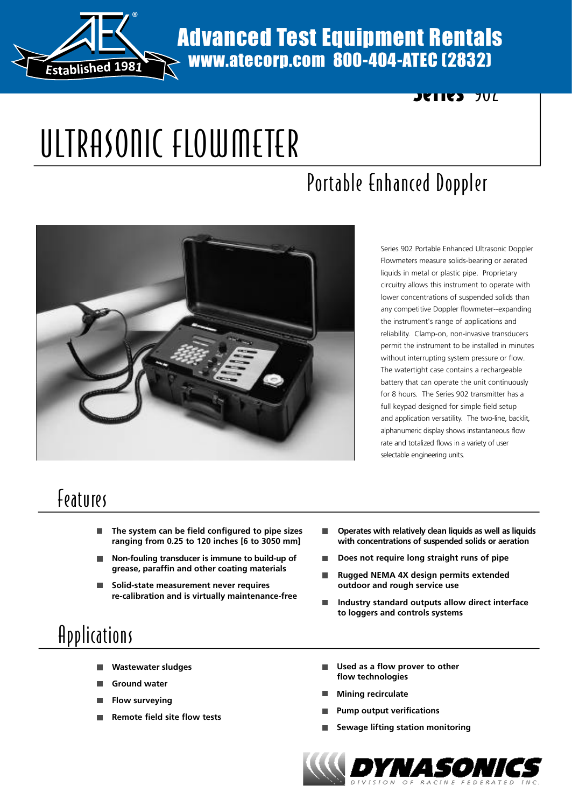

#### Advanced Test Equipment Rentals www.atecorp.com 800-404-ATEC (2832)

# ULTRASONIC FLOWMETER

# Portable Enhanced Doppler



Series 902 Portable Enhanced Ultrasonic Doppler Flowmeters measure solids-bearing or aerated liquids in metal or plastic pipe. Proprietary circuitry allows this instrument to operate with lower concentrations of suspended solids than any competitive Doppler flowmeter--expanding the instrument's range of applications and reliability. Clamp-on, non-invasive transducers permit the instrument to be installed in minutes without interrupting system pressure or flow. The watertight case contains a rechargeable battery that can operate the unit continuously for 8 hours. The Series 902 transmitter has a full keypad designed for simple field setup and application versatility. The two-line, backlit, alphanumeric display shows instantaneous flow rate and totalized flows in a variety of user selectable engineering units.

Series 902

#### **Features**

- **The system can be field configured to pipe sizes** П **ranging from 0.25 to 120 inches [6 to 3050 mm]**
- **Non-fouling transducer is immune to build-up of grease, paraffin and other coating materials**
- **Solid-state measurement never requires** П **re-calibration and is virtually maintenance-free**
- **Operates with relatively clean liquids as well as liquids** П **with concentrations of suspended solids or aeration**
- **Does not require long straight runs of pipe**
- **Rugged NEMA 4X design permits extended outdoor and rough service use**
- **Industry standard outputs allow direct interface to loggers and controls systems**

## Applications

- **Wastewater sludges**
- **Ground water**
- **Flow surveying**
- **Remote field site flow tests**
- **Used as a flow prover to other flow technologies**
- **Mining recirculate**
- **Pump output verifications**
- **Sewage lifting station monitoring**

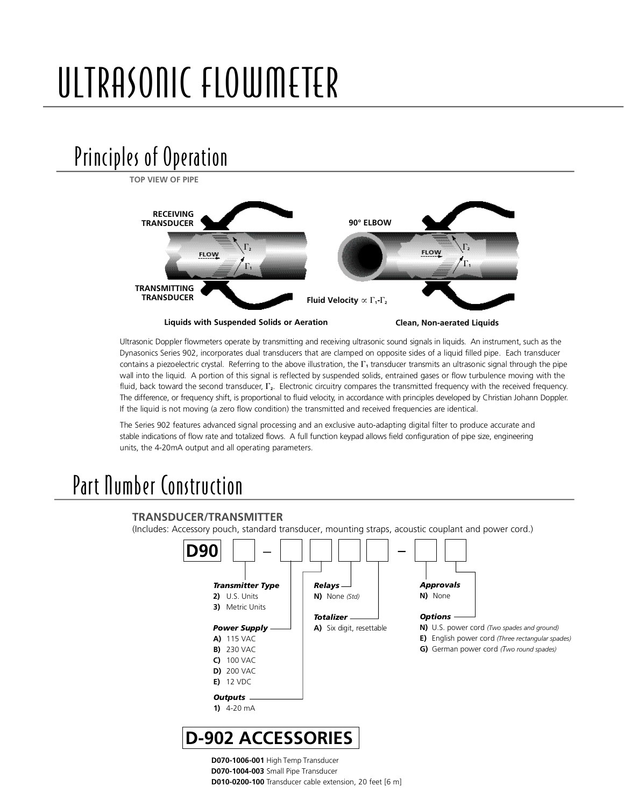# ULTRASONIC FLOWMETER

## Principles of Operation

**TOP VIEW OF PIPERECEIVING 90° ELBOW TRANSDUCER**  $\Gamma_{2}$  $\Gamma_{2}$ **FLOW FLOW**  $\Gamma_1$ G**1 TRANSMITTING TRANSDUCER Fluid Velocity**  $\propto \Gamma_1$ - $\Gamma_2$ **Liquids with Suspended Solids or Aeration Clean, Non-aerated Liquids**

Ultrasonic Doppler flowmeters operate by transmitting and receiving ultrasonic sound signals in liquids. An instrument, such as the Dynasonics Series 902, incorporates dual transducers that are clamped on opposite sides of a liquid filled pipe. Each transducer contains a piezoelectric crystal. Referring to the above illustration, the  $\Gamma_1$  transducer transmits an ultrasonic signal through the pipe wall into the liquid. A portion of this signal is reflected by suspended solids, entrained gases or flow turbulence moving with the fluid, back toward the second transducer,  $\Gamma_2$ . Electronic circuitry compares the transmitted frequency with the received frequency. The difference, or frequency shift, is proportional to fluid velocity, in accordance with principles developed by Christian Johann Doppler. If the liquid is not moving (a zero flow condition) the transmitted and received frequencies are identical.

The Series 902 features advanced signal processing and an exclusive auto-adapting digital filter to produce accurate and stable indications of flow rate and totalized flows. A full function keypad allows field configuration of pipe size, engineering units, the 4-20mA output and all operating parameters.

#### Part Number Construction



**D070-1006-001** High Temp Transducer **D070-1004-003** Small Pipe Transducer **D010-0200-100** Transducer cable extension, 20 feet [6 m]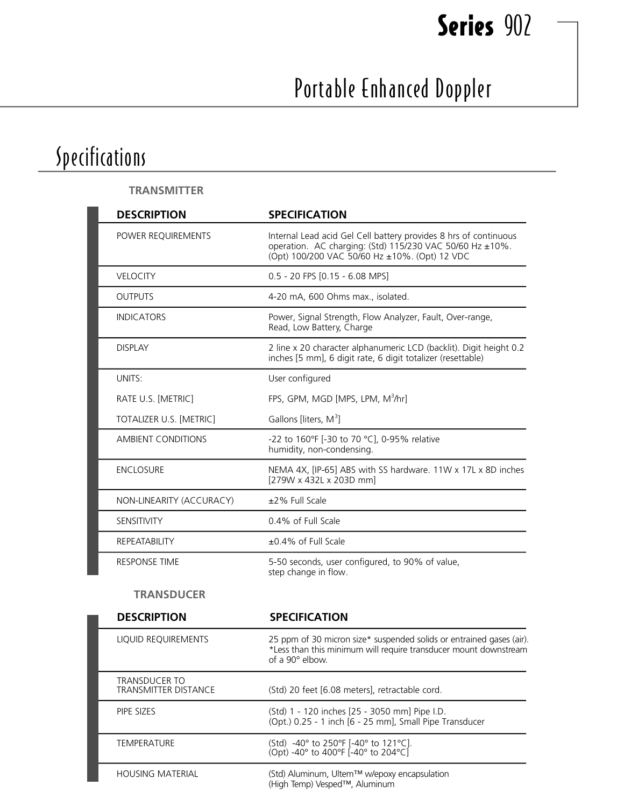# Series 902

# Portable Enhanced Doppler

# Specifications

| <b>TRANSMITTER</b>        |                                                                                                                                                                               |
|---------------------------|-------------------------------------------------------------------------------------------------------------------------------------------------------------------------------|
| <b>DESCRIPTION</b>        | <b>SPECIFICATION</b>                                                                                                                                                          |
| POWER REQUIREMENTS        | Internal Lead acid Gel Cell battery provides 8 hrs of continuous<br>operation. AC charging: (Std) 115/230 VAC 50/60 Hz ±10%.<br>(Opt) 100/200 VAC 50/60 Hz ±10%. (Opt) 12 VDC |
| <b>VELOCITY</b>           | 0.5 - 20 FPS [0.15 - 6.08 MPS]                                                                                                                                                |
| <b>OUTPUTS</b>            | 4-20 mA, 600 Ohms max., isolated.                                                                                                                                             |
| <b>INDICATORS</b>         | Power, Signal Strength, Flow Analyzer, Fault, Over-range,<br>Read, Low Battery, Charge                                                                                        |
| <b>DISPLAY</b>            | 2 line x 20 character alphanumeric LCD (backlit). Digit height 0.2<br>inches [5 mm], 6 digit rate, 6 digit totalizer (resettable)                                             |
| UNITS:                    | User configured                                                                                                                                                               |
| RATE U.S. [METRIC]        | FPS, GPM, MGD [MPS, LPM, M <sup>3</sup> /hr]                                                                                                                                  |
| TOTALIZER U.S. [METRIC]   | Gallons [liters, $M^3$ ]                                                                                                                                                      |
| <b>AMBIENT CONDITIONS</b> | -22 to 160°F [-30 to 70 °C], 0-95% relative<br>humidity, non-condensing.                                                                                                      |
| <b>ENCLOSURE</b>          | NEMA 4X, [IP-65] ABS with SS hardware. 11W x 17L x 8D inches<br>[279W x 432L x 203D mm]                                                                                       |
| NON-LINEARITY (ACCURACY)  | ±2% Full Scale                                                                                                                                                                |
| SENSITIVITY               | 0.4% of Full Scale                                                                                                                                                            |
| REPEATABILITY             | $\pm 0.4\%$ of Full Scale                                                                                                                                                     |
| <b>RESPONSE TIME</b>      | 5-50 seconds, user configured, to 90% of value,<br>step change in flow.                                                                                                       |

#### **TRANSDUCER**

| <b>DESCRIPTION</b>                                  | <b>SPECIFICATION</b>                                                                                                                                               |
|-----------------------------------------------------|--------------------------------------------------------------------------------------------------------------------------------------------------------------------|
| LIQUID REQUIREMENTS                                 | 25 ppm of 30 micron size* suspended solids or entrained gases (air).<br>*Less than this minimum will require transducer mount downstream<br>of a $90^\circ$ elbow. |
| <b>TRANSDUCER TO</b><br><b>TRANSMITTER DISTANCE</b> | (Std) 20 feet [6.08 meters], retractable cord.                                                                                                                     |
| PIPE SIZES                                          | (Std) 1 - 120 inches [25 - 3050 mm] Pipe I.D.<br>(Opt.) 0.25 - 1 inch [6 - 25 mm], Small Pipe Transducer                                                           |
| <b>TEMPERATURE</b>                                  | (Std) -40° to 250°F [-40° to 121°C].<br>(Opt) -40° to 400°F [-40° to 204°C]                                                                                        |
| <b>HOUSING MATERIAL</b>                             | (Std) Aluminum, Ultem™ w/epoxy encapsulation<br>(High Temp) Vesped™, Aluminum                                                                                      |